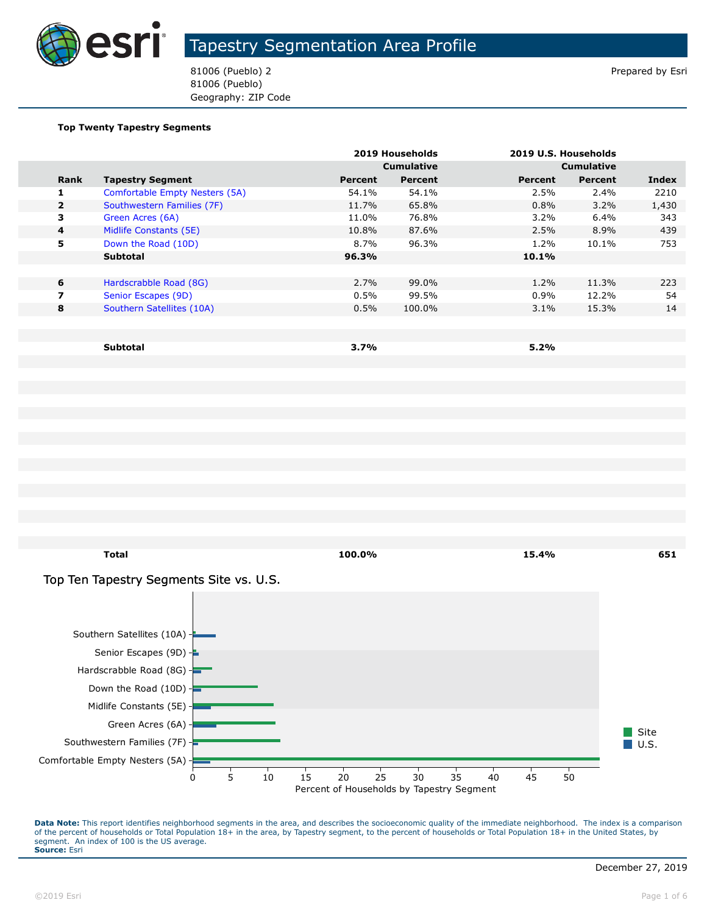

81006 (Pueblo) 2 Prepared by Esri 81006 (Pueblo) Geography: ZIP Code

#### **Top Twenty Tapestry Segments**

|                |                                |                | 2019 Households   |         | 2019 U.S. Households |       |
|----------------|--------------------------------|----------------|-------------------|---------|----------------------|-------|
|                |                                |                | <b>Cumulative</b> |         | <b>Cumulative</b>    |       |
| Rank           | <b>Tapestry Segment</b>        | <b>Percent</b> | Percent           | Percent | <b>Percent</b>       | Index |
| 1              | Comfortable Empty Nesters (5A) | 54.1%          | 54.1%             | 2.5%    | 2.4%                 | 2210  |
| $\overline{2}$ | Southwestern Families (7F)     | 11.7%          | 65.8%             | 0.8%    | 3.2%                 | 1,430 |
| 3              | Green Acres (6A)               | 11.0%          | 76.8%             | $3.2\%$ | $6.4\%$              | 343   |
| $\overline{4}$ | Midlife Constants (5E)         | 10.8%          | 87.6%             | 2.5%    | 8.9%                 | 439   |
| 5              | Down the Road (10D)            | 8.7%           | 96.3%             | 1.2%    | 10.1%                | 753   |
|                | <b>Subtotal</b>                | 96.3%          |                   | 10.1%   |                      |       |
|                |                                |                |                   |         |                      |       |
| 6              | Hardscrabble Road (8G)         | 2.7%           | 99.0%             | 1.2%    | 11.3%                | 223   |
| 7              | Senior Escapes (9D)            | 0.5%           | 99.5%             | 0.9%    | 12.2%                | 54    |
| 8              | Southern Satellites (10A)      | 0.5%           | 100.0%            | $3.1\%$ | 15.3%                | 14    |
|                |                                |                |                   |         |                      |       |
|                |                                |                |                   |         |                      |       |
|                | <b>Subtotal</b>                | 3.7%           |                   | 5.2%    |                      |       |

**Total 100.0% 15.4% 651 Site**  $\blacksquare$  U.S. Top Ten Tapestry Segments Site vs. U.S. Comfortable Empty Nesters (5A) Southwestern Families (7F) Green Acres (6A) Midlife Constants (5E) Down the Road (10D) Hardscrabble Road (8G) Senior Escapes (9D) Southern Satellites (10A) Percent of Households by Tapestry Segment 0 5 10 15 20 25 30 35 40 45 50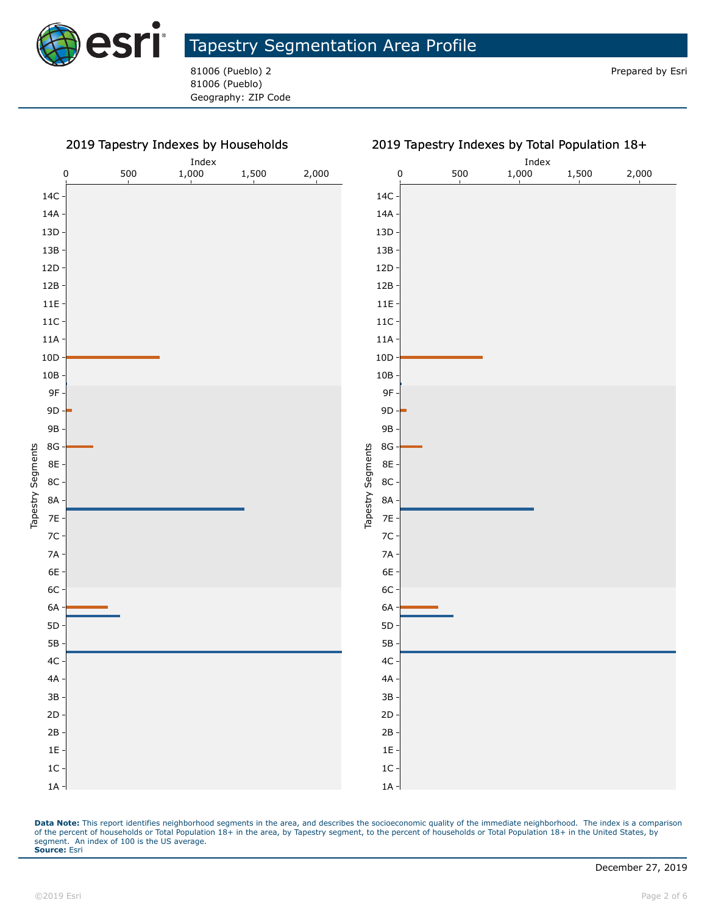

81006 (Pueblo) 2 Prepared by Esri 81006 (Pueblo) Geography: ZIP Code

#### 2019 Tapestry Indexes by Households Index Index 0 500 1,000 1,500 2,000 0 500 1,000 1,500 2,000 14C 14C 14A 14A 13D 13D 13B 13B 12D 12D 12B 12B 11E 11E 11C 11C 11A 11A 10D 10D 10B 10B 9F 9F 9D 9D 9B 9B 8G 8G Tapestry Segments Tapestry Segments Tapestry Segments Tapestry Segments 8E 8E 8C 8C 8A 8A 7E 7E 7C 7C 7A 7A 6E 6E 6C 6C 6A 6A 5D 5D 5B 5B 4C 4C 4A 4A 3B 3B 2D 2D 2B 2B 1E 1E 1C 1C 1A 1A

#### 2019 Tapestry Indexes by Total Population 18+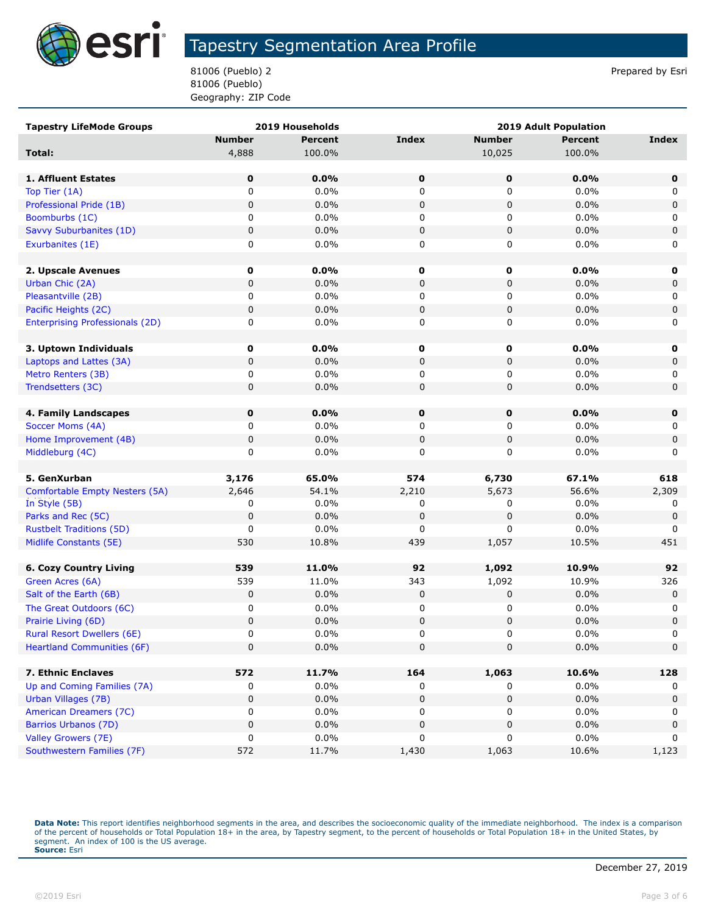

81006 (Pueblo) 2 Prepared by Esri 81006 (Pueblo) Geography: ZIP Code

| <b>Tapestry LifeMode Groups</b>        |               | 2019 Households | <b>2019 Adult Population</b> |               |                |             |
|----------------------------------------|---------------|-----------------|------------------------------|---------------|----------------|-------------|
|                                        | <b>Number</b> | <b>Percent</b>  | <b>Index</b>                 | <b>Number</b> | <b>Percent</b> | Index       |
| Total:                                 | 4,888         | 100.0%          |                              | 10,025        | 100.0%         |             |
|                                        |               |                 |                              |               |                |             |
| 1. Affluent Estates                    | 0             | 0.0%            | $\mathbf 0$                  | 0             | 0.0%           | $\mathbf 0$ |
| Top Tier (1A)                          | 0             | 0.0%            | 0                            | 0             | 0.0%           | 0           |
| Professional Pride (1B)                | $\pmb{0}$     | 0.0%            | 0                            | $\pmb{0}$     | 0.0%           | 0           |
| Boomburbs (1C)                         | 0             | 0.0%            | 0                            | 0             | 0.0%           | 0           |
| Savvy Suburbanites (1D)                | 0             | 0.0%            | 0                            | 0             | 0.0%           | 0           |
| Exurbanites (1E)                       | 0             | 0.0%            | 0                            | 0             | $0.0\%$        | 0           |
|                                        |               |                 |                              |               |                |             |
| 2. Upscale Avenues                     | $\mathbf 0$   | 0.0%            | 0                            | 0             | 0.0%           | 0           |
| Urban Chic (2A)                        | $\mathbf 0$   | 0.0%            | 0                            | 0             | 0.0%           | 0           |
| Pleasantville (2B)                     | 0             | 0.0%            | 0                            | 0             | 0.0%           | 0           |
| Pacific Heights (2C)                   | 0             | 0.0%            | 0                            | 0             | 0.0%           | 0           |
| <b>Enterprising Professionals (2D)</b> | 0             | 0.0%            | 0                            | 0             | 0.0%           | 0           |
|                                        |               |                 |                              |               |                |             |
| 3. Uptown Individuals                  | $\mathbf 0$   | 0.0%            | 0                            | 0             | 0.0%           | 0           |
| Laptops and Lattes (3A)                | 0             | 0.0%            | 0                            | 0             | 0.0%           | 0           |
| Metro Renters (3B)                     | 0             | 0.0%            | 0                            | 0             | $0.0\%$        | 0           |
| Trendsetters (3C)                      | 0             | 0.0%            | 0                            | 0             | 0.0%           | $\mathbf 0$ |
|                                        |               |                 |                              |               |                |             |
| 4. Family Landscapes                   | 0             | 0.0%            | $\mathbf 0$                  | 0             | 0.0%           | $\mathbf 0$ |
| Soccer Moms (4A)                       | 0             | 0.0%            | 0                            | 0             | 0.0%           | 0           |
| Home Improvement (4B)                  | $\pmb{0}$     | 0.0%            | 0                            | $\pmb{0}$     | 0.0%           | $\pmb{0}$   |
| Middleburg (4C)                        | 0             | 0.0%            | 0                            | 0             | 0.0%           | 0           |
|                                        |               |                 |                              |               |                |             |
| 5. GenXurban                           | 3,176         | 65.0%           | 574                          | 6,730         | 67.1%          | 618         |
| Comfortable Empty Nesters (5A)         | 2,646         | 54.1%           | 2,210                        | 5,673         | 56.6%          | 2,309       |
| In Style (5B)                          | 0             | 0.0%            | 0                            | 0             | 0.0%           | 0           |
| Parks and Rec (5C)                     | $\mathbf 0$   | 0.0%            | 0                            | $\pmb{0}$     | 0.0%           | $\mathbf 0$ |
| <b>Rustbelt Traditions (5D)</b>        | 0<br>530      | 0.0%            | 0                            | 0             | 0.0%<br>10.5%  | 0<br>451    |
| Midlife Constants (5E)                 |               | 10.8%           | 439                          | 1,057         |                |             |
| <b>6. Cozy Country Living</b>          | 539           | 11.0%           | 92                           | 1,092         | 10.9%          | 92          |
| Green Acres (6A)                       | 539           | 11.0%           | 343                          | 1,092         | 10.9%          | 326         |
| Salt of the Earth (6B)                 | 0             | 0.0%            | 0                            | 0             | 0.0%           | 0           |
| The Great Outdoors (6C)                | 0             | 0.0%            | 0                            | 0             | 0.0%           | 0           |
| Prairie Living (6D)                    | 0             | 0.0%            | 0                            | $\pmb{0}$     | 0.0%           | 0           |
| <b>Rural Resort Dwellers (6E)</b>      | 0             | 0.0%            | 0                            | 0             | 0.0%           | 0           |
| <b>Heartland Communities (6F)</b>      | $\pmb{0}$     | 0.0%            | 0                            | $\pmb{0}$     | 0.0%           | 0           |
|                                        |               |                 |                              |               |                |             |
| 7. Ethnic Enclaves                     | 572           | 11.7%           | 164                          | 1,063         | 10.6%          | 128         |
| Up and Coming Families (7A)            | 0             | $0.0\%$         | 0                            | 0             | $0.0\%$        | 0           |
| Urban Villages (7B)                    | 0             | 0.0%            | 0                            | 0             | 0.0%           | 0           |
| American Dreamers (7C)                 | 0             | 0.0%            | 0                            | 0             | 0.0%           | 0           |
| Barrios Urbanos (7D)                   | $\pmb{0}$     | 0.0%            | 0                            | 0             | 0.0%           | $\pmb{0}$   |
| Valley Growers (7E)                    | 0             | $0.0\%$         | 0                            | 0             | 0.0%           | 0           |
| Southwestern Families (7F)             | 572           | 11.7%           | 1,430                        | 1,063         | 10.6%          | 1,123       |
|                                        |               |                 |                              |               |                |             |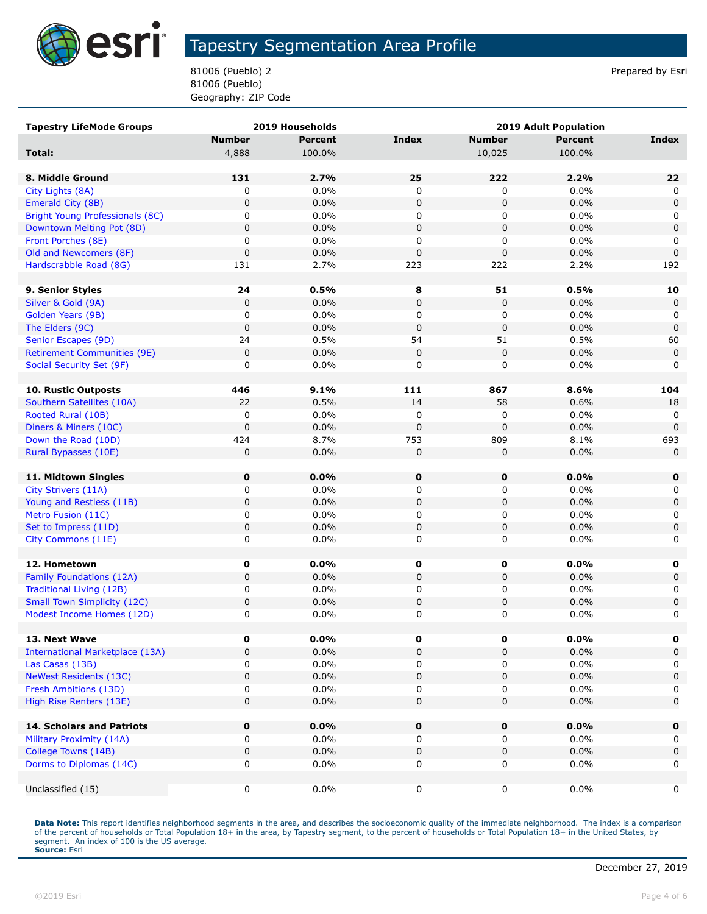

81006 (Pueblo) 2 Prepared by Esri 81006 (Pueblo) Geography: ZIP Code

| <b>Tapestry LifeMode Groups</b>        |               | 2019 Households | <b>2019 Adult Population</b> |               |                |             |
|----------------------------------------|---------------|-----------------|------------------------------|---------------|----------------|-------------|
|                                        | <b>Number</b> | <b>Percent</b>  | <b>Index</b>                 | <b>Number</b> | <b>Percent</b> | Index       |
| Total:                                 | 4,888         | 100.0%          |                              | 10,025        | 100.0%         |             |
|                                        |               |                 |                              |               |                |             |
| 8. Middle Ground                       | 131           | 2.7%            | 25                           | 222           | 2.2%           | 22          |
| City Lights (8A)                       | 0             | 0.0%            | 0                            | 0             | 0.0%           | 0           |
| Emerald City (8B)                      | 0             | 0.0%            | $\mathbf 0$                  | 0             | 0.0%           | $\mathbf 0$ |
| <b>Bright Young Professionals (8C)</b> | 0             | 0.0%            | 0                            | 0             | 0.0%           | 0           |
| Downtown Melting Pot (8D)              | $\mathbf 0$   | 0.0%            | $\mathbf 0$                  | $\pmb{0}$     | 0.0%           | $\mathsf 0$ |
| Front Porches (8E)                     | 0             | 0.0%            | 0                            | 0             | 0.0%           | 0           |
| Old and Newcomers (8F)                 | $\pmb{0}$     | 0.0%            | $\mathbf 0$                  | 0             | 0.0%           | $\mathbf 0$ |
| Hardscrabble Road (8G)                 | 131           | 2.7%            | 223                          | 222           | 2.2%           | 192         |
|                                        |               |                 |                              |               |                |             |
| 9. Senior Styles                       | 24            | 0.5%            | 8                            | 51            | 0.5%           | 10          |
| Silver & Gold (9A)                     | $\pmb{0}$     | 0.0%            | $\mathbf 0$                  | 0             | 0.0%           | $\mathbf 0$ |
| Golden Years (9B)                      | 0             | 0.0%            | 0                            | 0             | $0.0\%$        | 0           |
| The Elders (9C)                        | $\pmb{0}$     | 0.0%            | $\mathbf 0$                  | 0             | 0.0%           | $\mathbf 0$ |
| Senior Escapes (9D)                    | 24            | 0.5%            | 54                           | 51            | 0.5%           | 60          |
| <b>Retirement Communities (9E)</b>     | $\pmb{0}$     | 0.0%            | $\mathbf 0$                  | 0             | 0.0%           | 0           |
| Social Security Set (9F)               | 0             | 0.0%            | 0                            | 0             | 0.0%           | 0           |
|                                        |               |                 |                              |               |                |             |
| <b>10. Rustic Outposts</b>             | 446           | 9.1%            | 111                          | 867           | 8.6%           | 104         |
| Southern Satellites (10A)              | 22            | 0.5%            | 14                           | 58            | 0.6%           | 18          |
| Rooted Rural (10B)                     | 0             | 0.0%            | 0                            | 0             | 0.0%           | 0           |
| Diners & Miners (10C)                  | $\mathbf 0$   | 0.0%            | $\mathbf 0$                  | $\mathbf 0$   | 0.0%           | $\mathbf 0$ |
| Down the Road (10D)                    | 424           | 8.7%            | 753                          | 809           | 8.1%           | 693         |
| Rural Bypasses (10E)                   | 0             | 0.0%            | $\mathbf 0$                  | 0             | 0.0%           | $\mathbf 0$ |
| 11. Midtown Singles                    | $\mathbf 0$   | 0.0%            | $\mathbf 0$                  | $\mathbf 0$   | 0.0%           | 0           |
| City Strivers (11A)                    | 0             | 0.0%            | 0                            | 0             | 0.0%           | 0           |
| Young and Restless (11B)               | $\pmb{0}$     | 0.0%            | $\pmb{0}$                    | 0             | 0.0%           | $\mathsf 0$ |
| Metro Fusion (11C)                     | 0             | 0.0%            | 0                            | 0             | 0.0%           | 0           |
| Set to Impress (11D)                   | $\pmb{0}$     | 0.0%            | $\pmb{0}$                    | 0             | 0.0%           | $\mathsf 0$ |
| City Commons (11E)                     | 0             | 0.0%            | 0                            | 0             | 0.0%           | 0           |
|                                        |               |                 |                              |               |                |             |
| 12. Hometown                           | 0             | $0.0\%$         | 0                            | 0             | $0.0\%$        | 0           |
| Family Foundations (12A)               | $\mathbf 0$   | 0.0%            | 0                            | 0             | $0.0\%$        | $\mathbf 0$ |
| Traditional Living (12B)               | 0             | 0.0%            | 0                            | 0             | 0.0%           | 0           |
| <b>Small Town Simplicity (12C)</b>     | 0             | 0.0%            | $\pmb{0}$                    | $\pmb{0}$     | 0.0%           | $\mathbf 0$ |
| Modest Income Homes (12D)              | 0             | 0.0%            | $\mathbf 0$                  | 0             | 0.0%           | 0           |
|                                        |               |                 |                              |               |                |             |
| 13. Next Wave                          | 0             | $0.0\%$         | 0                            | 0             | $0.0\%$        | 0           |
| <b>International Marketplace (13A)</b> | 0             | 0.0%            | $\pmb{0}$                    | 0             | 0.0%           | 0           |
| Las Casas (13B)                        | 0             | $0.0\%$         | 0                            | 0             | 0.0%           | 0           |
| <b>NeWest Residents (13C)</b>          | $\mathbf 0$   | 0.0%            | $\pmb{0}$                    | 0             | 0.0%           | $\mathbf 0$ |
| Fresh Ambitions (13D)                  | 0             | $0.0\%$         | 0                            | 0             | $0.0\%$        | 0           |
| High Rise Renters (13E)                | 0             | 0.0%            | 0                            | 0             | 0.0%           | 0           |
|                                        |               |                 |                              |               |                |             |
| 14. Scholars and Patriots              | $\mathbf 0$   | $0.0\%$         | 0                            | $\mathbf 0$   | 0.0%           | $\mathbf 0$ |
| Military Proximity (14A)               | 0             | $0.0\%$         | 0                            | 0             | $0.0\%$        | 0           |
| College Towns (14B)                    | $\pmb{0}$     | 0.0%            | 0                            | 0             | 0.0%           | $\mathbf 0$ |
| Dorms to Diplomas (14C)                | 0             | $0.0\%$         | 0                            | 0             | $0.0\%$        | 0           |
| Unclassified (15)                      | 0             | $0.0\%$         | 0                            | 0             | $0.0\%$        | 0           |
|                                        |               |                 |                              |               |                |             |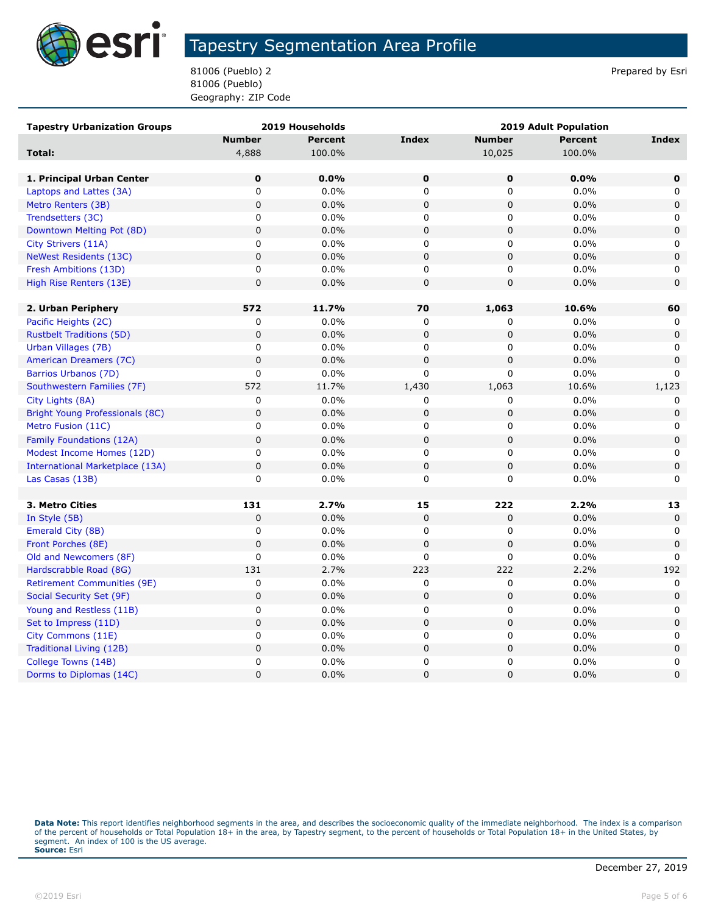

81006 (Pueblo) 2 Prepared by Esri 81006 (Pueblo) Geography: ZIP Code

| <b>Tapestry Urbanization Groups</b>    |               | 2019 Households | <b>2019 Adult Population</b> |                |                |             |
|----------------------------------------|---------------|-----------------|------------------------------|----------------|----------------|-------------|
|                                        | <b>Number</b> | <b>Percent</b>  | <b>Index</b>                 | <b>Number</b>  | <b>Percent</b> | Index       |
| Total:                                 | 4,888         | 100.0%          |                              | 10,025         | 100.0%         |             |
|                                        |               |                 |                              |                |                |             |
| 1. Principal Urban Center              | $\mathbf 0$   | 0.0%            | $\mathbf 0$                  | $\mathbf 0$    | 0.0%           | $\mathbf 0$ |
| Laptops and Lattes (3A)                | 0             | $0.0\%$         | $\mathbf 0$                  | 0              | 0.0%           | 0           |
| Metro Renters (3B)                     | $\mathbf 0$   | 0.0%            | $\mathbf 0$                  | $\overline{0}$ | 0.0%           | $\mathbf 0$ |
| Trendsetters (3C)                      | 0             | $0.0\%$         | 0                            | 0              | 0.0%           | 0           |
| Downtown Melting Pot (8D)              | $\mathbf 0$   | 0.0%            | $\mathsf 0$                  | $\mathbf 0$    | 0.0%           | $\mathbf 0$ |
| City Strivers (11A)                    | 0             | 0.0%            | 0                            | 0              | 0.0%           | 0           |
| NeWest Residents (13C)                 | $\pmb{0}$     | 0.0%            | $\mathbf 0$                  | 0              | 0.0%           | $\mathbf 0$ |
| Fresh Ambitions (13D)                  | 0             | $0.0\%$         | 0                            | 0              | 0.0%           | 0           |
| High Rise Renters (13E)                | $\mathsf 0$   | 0.0%            | $\mathsf 0$                  | 0              | 0.0%           | $\mathbf 0$ |
|                                        |               |                 |                              |                |                |             |
| 2. Urban Periphery                     | 572           | 11.7%           | 70                           | 1,063          | 10.6%          | 60          |
| Pacific Heights (2C)                   | 0             | $0.0\%$         | 0                            | 0              | 0.0%           | 0           |
| <b>Rustbelt Traditions (5D)</b>        | $\mathsf 0$   | 0.0%            | $\mathsf 0$                  | $\mathsf 0$    | 0.0%           | 0           |
| Urban Villages (7B)                    | 0             | 0.0%            | 0                            | 0              | 0.0%           | 0           |
| American Dreamers (7C)                 | $\mathbf 0$   | 0.0%            | $\mathbf 0$                  | 0              | 0.0%           | $\mathbf 0$ |
| <b>Barrios Urbanos (7D)</b>            | 0             | $0.0\%$         | 0                            | 0              | 0.0%           | $\Omega$    |
| Southwestern Families (7F)             | 572           | 11.7%           | 1,430                        | 1,063          | 10.6%          | 1,123       |
| City Lights (8A)                       | 0             | $0.0\%$         | 0                            | 0              | 0.0%           | 0           |
| <b>Bright Young Professionals (8C)</b> | $\pmb{0}$     | 0.0%            | $\mathbf 0$                  | $\pmb{0}$      | 0.0%           | $\mathbf 0$ |
| Metro Fusion (11C)                     | 0             | $0.0\%$         | 0                            | 0              | 0.0%           | 0           |
| <b>Family Foundations (12A)</b>        | $\pmb{0}$     | 0.0%            | $\mathbf 0$                  | 0              | 0.0%           | $\mathbf 0$ |
| Modest Income Homes (12D)              | 0             | 0.0%            | $\mathsf 0$                  | 0              | 0.0%           | 0           |
| International Marketplace (13A)        | $\pmb{0}$     | 0.0%            | $\mathsf 0$                  | 0              | 0.0%           | $\mathbf 0$ |
| Las Casas (13B)                        | 0             | $0.0\%$         | 0                            | 0              | 0.0%           | 0           |
|                                        |               |                 |                              |                |                |             |
| 3. Metro Cities                        | 131           | 2.7%            | 15                           | 222            | 2.2%           | 13          |
| In Style (5B)                          | 0             | 0.0%            | 0                            | 0              | 0.0%           | 0           |
| Emerald City (8B)                      | 0             | $0.0\%$         | 0                            | $\pmb{0}$      | 0.0%           | 0           |
| Front Porches (8E)                     | $\mathsf 0$   | 0.0%            | $\mathbf 0$                  | $\mathsf 0$    | 0.0%           | $\mathbf 0$ |
| Old and Newcomers (8F)                 | 0             | $0.0\%$         | 0                            | 0              | 0.0%           | $\Omega$    |
| Hardscrabble Road (8G)                 | 131           | 2.7%            | 223                          | 222            | 2.2%           | 192         |
| <b>Retirement Communities (9E)</b>     | 0             | 0.0%            | 0                            | 0              | 0.0%           | 0           |
| Social Security Set (9F)               | $\pmb{0}$     | 0.0%            | $\mathbf 0$                  | $\pmb{0}$      | 0.0%           | 0           |
| Young and Restless (11B)               | 0             | $0.0\%$         | 0                            | 0              | 0.0%           | 0           |
| Set to Impress (11D)                   | 0             | 0.0%            | $\mathbf 0$                  | 0              | 0.0%           | 0           |
| City Commons (11E)                     | 0             | $0.0\%$         | $\mathbf 0$                  | 0              | 0.0%           | 0           |
| Traditional Living (12B)               | $\mathbf 0$   | 0.0%            | $\pmb{0}$                    | $\mathsf 0$    | 0.0%           | $\pmb{0}$   |
| College Towns (14B)                    | 0             | 0.0%            | 0                            | 0              | 0.0%           | 0           |
| Dorms to Diplomas (14C)                | $\mathbf 0$   | 0.0%            | $\overline{0}$               | $\overline{0}$ | 0.0%           | $\mathbf 0$ |